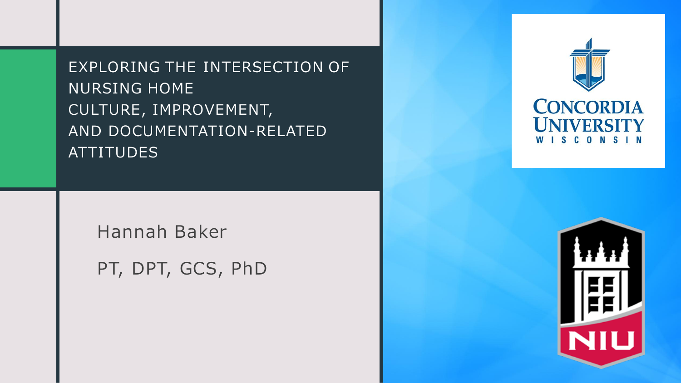EXPLORING THE INTERSECTION OF NURSING HOME CULTURE, IMPROVEMENT, AND DOCUMENTATION-RELATED ATTITUDES

Hannah Baker

PT, DPT, GCS, PhD



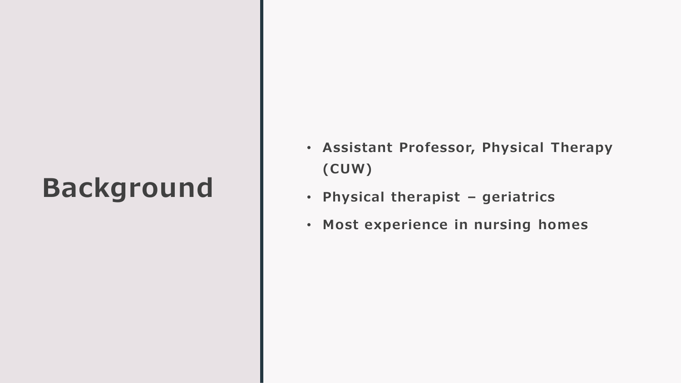### **Background**

- **Assistant Professor, Physical Therapy (CUW)**
- **Physical therapist – geriatrics**
- **Most experience in nursing homes**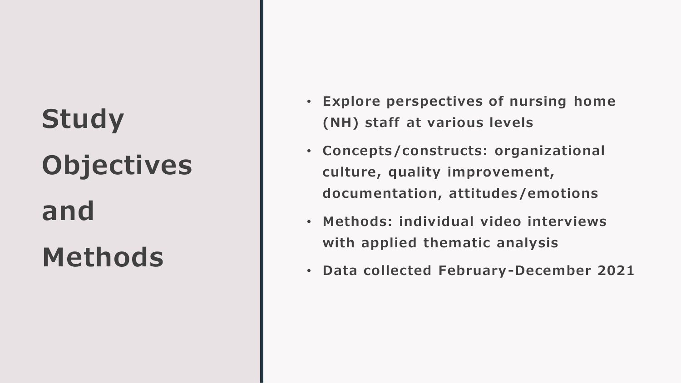# **Study Objectives and Methods**

- **Explore perspectives of nursing home (NH) staff at various levels**
- **Concepts/constructs: organizational culture, quality improvement, documentation, attitudes/emotions**
- **Methods: individual video interviews with applied thematic analysis**
- **Data collected February-December 2021**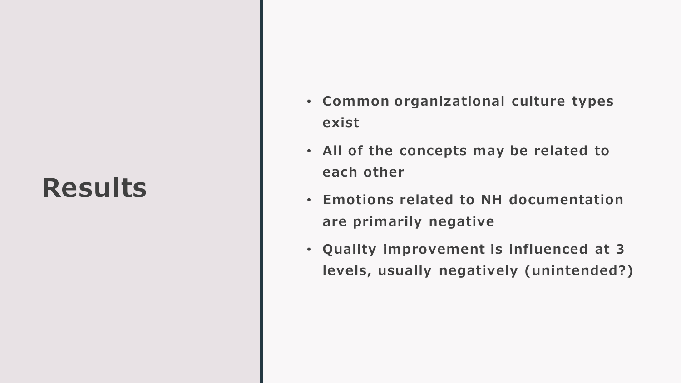#### **Results**

- **Common organizational culture types exist**
- **All of the concepts may be related to each other**
- **Emotions related to NH documentation are primarily negative**
- **Quality improvement is influenced at 3 levels, usually negatively (unintended?)**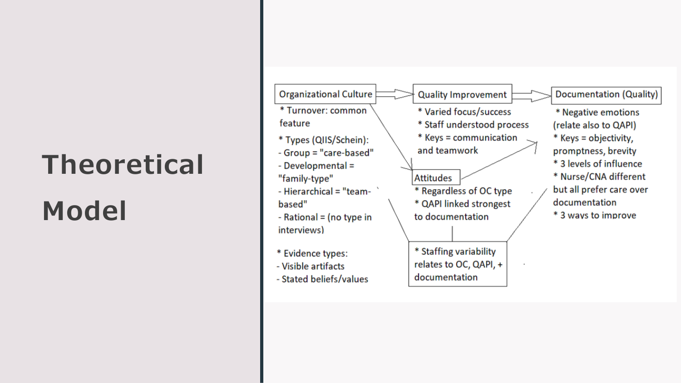# **Theoretical**

# **Model**



- Stated beliefs/values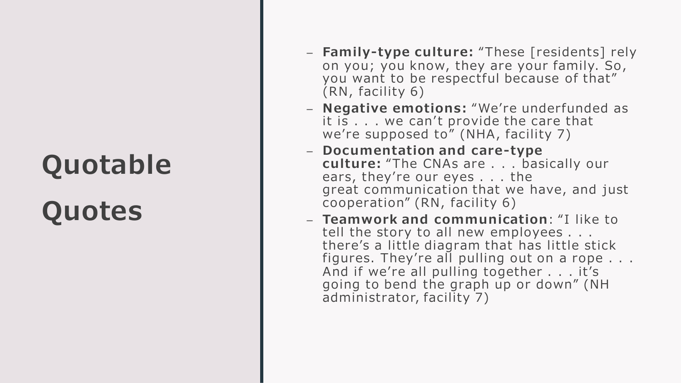## **Quotable**

## **Quotes**

- **Family -type culture:** "These [residents] rely on you; you know, they are your family. So , you want to be respectful because of that" (RN, facility 6)
- **Negative emotions:** "We're underfunded as it is . . . we can't provide the care that we're supposed to" (NHA, facility 7)
- **Documentation and care-type culture:** "The CNAs are . . . basically our ears, they're our eyes . . . the great communication that we have, and just cooperation" (RN, facility 6)
- **Teamwork and communication** : "I like to tell the story to all new employees . . . there's a little diagram that has little stick figures. They're all pulling out on a rope  $\ldots$ . And if we're all pulling together . . . it's going to bend the graph up or down" (NH administrator, facility 7)